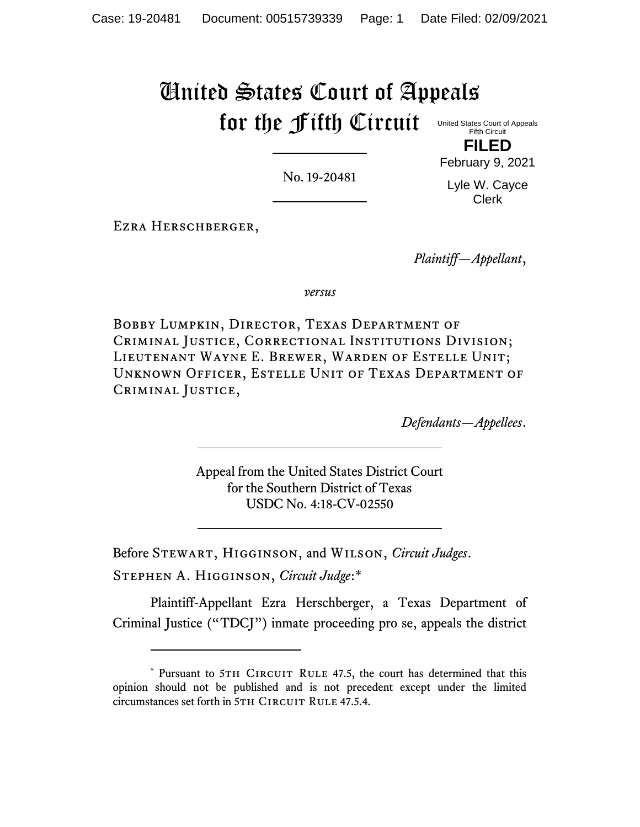# United States Court of Appeals for the Fifth Circuit

United States Court of Appeals Fifth Circuit **FILED**

No. 19-20481

February 9, 2021 Lyle W. Cayce Clerk

Ezra Herschberger,

*Plaintiff—Appellant*,

*versus*

Bobby Lumpkin, Director, Texas Department of Criminal Justice, Correctional Institutions Division; Lieutenant Wayne E. Brewer, Warden of Estelle Unit; Unknown Officer, Estelle Unit of Texas Department of Criminal Justice,

*Defendants—Appellees*.

Appeal from the United States District Court for the Southern District of Texas USDC No. 4:18-CV-02550

Before Stewart, Higginson, and Wilson, *Circuit Judges*.

Stephen A. Higginson, *Circuit Judge*:\*

Plaintiff-Appellant Ezra Herschberger, a Texas Department of Criminal Justice ("TDCJ") inmate proceeding pro se, appeals the district

<sup>\*</sup> Pursuant to 5TH CIRCUIT RULE 47.5, the court has determined that this opinion should not be published and is not precedent except under the limited circumstances set forth in 5TH CIRCUIT RULE 47.5.4.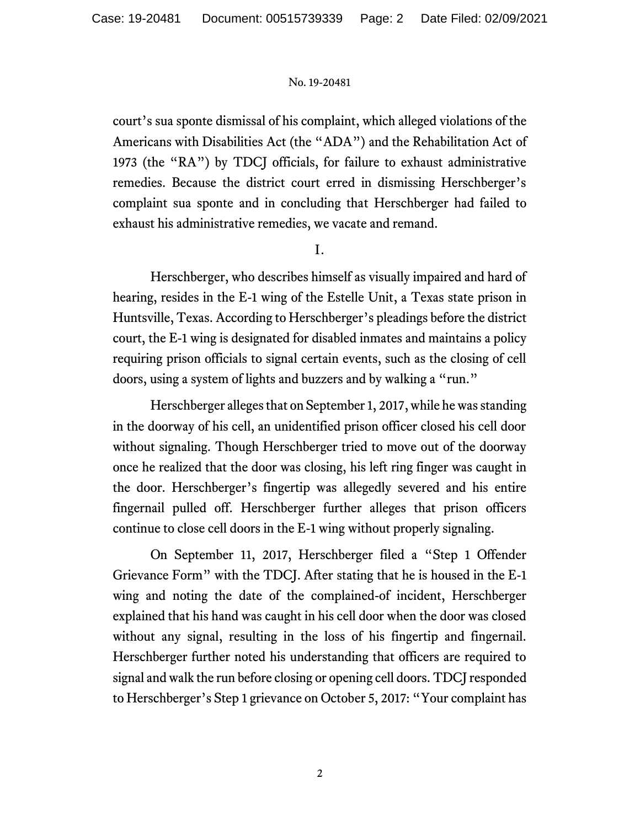court's sua sponte dismissal of his complaint, which alleged violations of the Americans with Disabilities Act (the "ADA") and the Rehabilitation Act of 1973 (the "RA") by TDCJ officials, for failure to exhaust administrative remedies. Because the district court erred in dismissing Herschberger's complaint sua sponte and in concluding that Herschberger had failed to exhaust his administrative remedies, we vacate and remand.

I.

Herschberger, who describes himself as visually impaired and hard of hearing, resides in the E-1 wing of the Estelle Unit, a Texas state prison in Huntsville, Texas. According to Herschberger's pleadings before the district court, the E-1 wing is designated for disabled inmates and maintains a policy requiring prison officials to signal certain events, such as the closing of cell doors, using a system of lights and buzzers and by walking a "run."

Herschberger alleges that on September 1, 2017, while he was standing in the doorway of his cell, an unidentified prison officer closed his cell door without signaling. Though Herschberger tried to move out of the doorway once he realized that the door was closing, his left ring finger was caught in the door. Herschberger's fingertip was allegedly severed and his entire fingernail pulled off. Herschberger further alleges that prison officers continue to close cell doors in the E-1 wing without properly signaling.

On September 11, 2017, Herschberger filed a "Step 1 Offender Grievance Form" with the TDCJ. After stating that he is housed in the E-1 wing and noting the date of the complained-of incident, Herschberger explained that his hand was caught in his cell door when the door was closed without any signal, resulting in the loss of his fingertip and fingernail. Herschberger further noted his understanding that officers are required to signal and walk the run before closing or opening cell doors. TDCJ responded to Herschberger's Step 1 grievance on October 5, 2017: "Your complaint has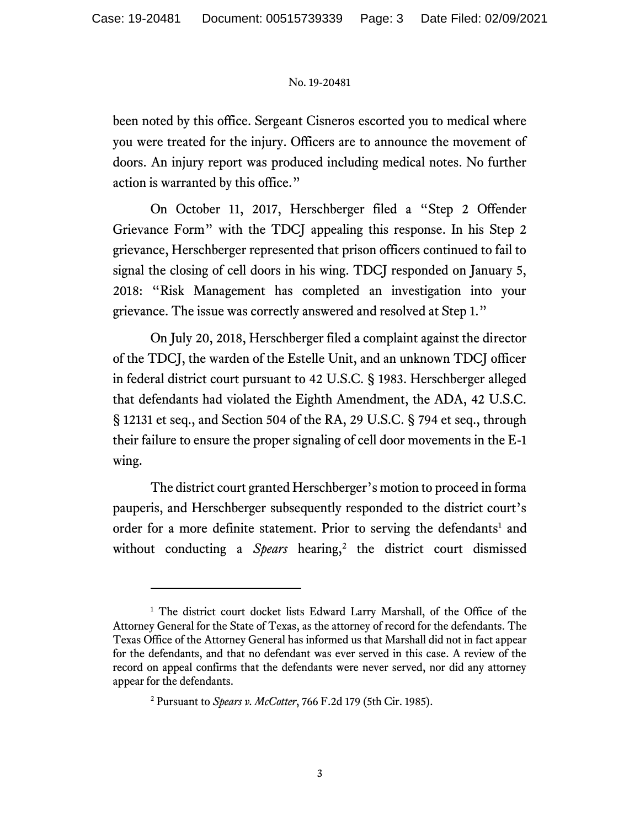been noted by this office. Sergeant Cisneros escorted you to medical where you were treated for the injury. Officers are to announce the movement of doors. An injury report was produced including medical notes. No further action is warranted by this office."

On October 11, 2017, Herschberger filed a "Step 2 Offender Grievance Form" with the TDCJ appealing this response. In his Step 2 grievance, Herschberger represented that prison officers continued to fail to signal the closing of cell doors in his wing. TDCJ responded on January 5, 2018: "Risk Management has completed an investigation into your grievance. The issue was correctly answered and resolved at Step 1."

On July 20, 2018, Herschberger filed a complaint against the director of the TDCJ, the warden of the Estelle Unit, and an unknown TDCJ officer in federal district court pursuant to 42 U.S.C. § 1983. Herschberger alleged that defendants had violated the Eighth Amendment, the ADA, 42 U.S.C. § 12131 et seq., and Section 504 of the RA, 29 U.S.C. § 794 et seq., through their failure to ensure the proper signaling of cell door movements in the E-1 wing.

The district court granted Herschberger's motion to proceed in forma pauperis, and Herschberger subsequently responded to the district court's order for a more definite statement. Prior to serving the defendants<sup>1</sup> and without conducting a Spears hearing,<sup>2</sup> the district court dismissed

<sup>&</sup>lt;sup>1</sup> The district court docket lists Edward Larry Marshall, of the Office of the Attorney General for the State of Texas, as the attorney of record for the defendants. The Texas Office of the Attorney General has informed us that Marshall did not in fact appear for the defendants, and that no defendant was ever served in this case. A review of the record on appeal confirms that the defendants were never served, nor did any attorney appear for the defendants.

<sup>2</sup> Pursuant to *Spears v. McCotter*, 766 F.2d 179 (5th Cir. 1985).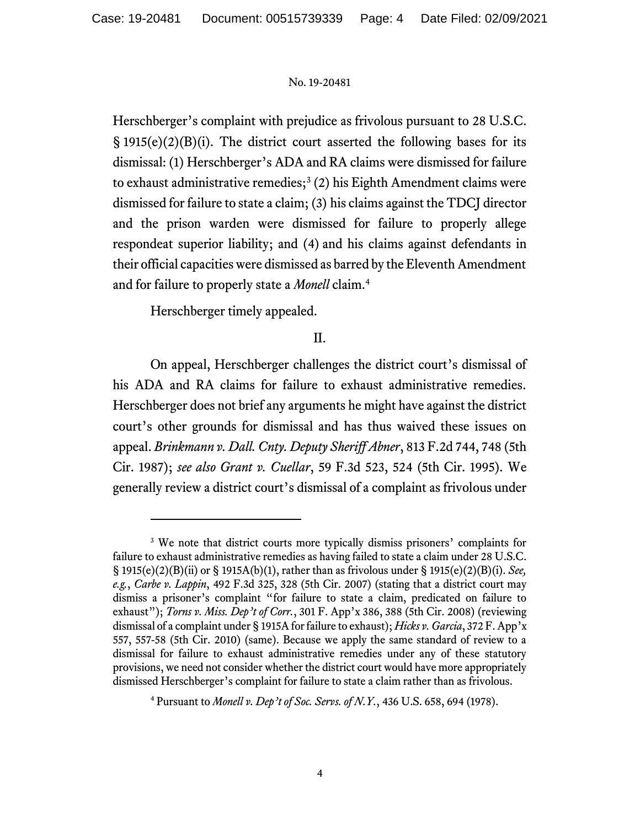Herschberger's complaint with prejudice as frivolous pursuant to 28 U.S.C.  $\S$  1915(e)(2)(B)(i). The district court asserted the following bases for its dismissal: (1) Herschberger's ADA and RA claims were dismissed for failure to exhaust administrative remedies;<sup>3</sup> (2) his Eighth Amendment claims were dismissed for failure to state a claim; (3) his claims against the TDCJ director and the prison warden were dismissed for failure to properly allege respondeat superior liability; and (4) and his claims against defendants in their official capacities were dismissed as barred by the Eleventh Amendment and for failure to properly state a *Monell* claim.<sup>4</sup>

Herschberger timely appealed.

# II.

On appeal, Herschberger challenges the district court's dismissal of his ADA and RA claims for failure to exhaust administrative remedies. Herschberger does not brief any arguments he might have against the district court's other grounds for dismissal and has thus waived these issues on appeal. *Brinkmann v. Dall. Cnty. Deputy Sheriff Abner*, 813 F.2d 744, 748 (5th Cir. 1987); *see also Grant v. Cuellar*, 59 F.3d 523, 524 (5th Cir. 1995). We generally review a district court's dismissal of a complaint as frivolous under

<sup>&</sup>lt;sup>3</sup> We note that district courts more typically dismiss prisoners' complaints for failure to exhaust administrative remedies as having failed to state a claim under 28 U.S.C. § 1915(e)(2)(B)(ii) or § 1915A(b)(1), rather than as frivolous under § 1915(e)(2)(B)(i). *See, e.g.*, *Carbe v. Lappin*, 492 F.3d 325, 328 (5th Cir. 2007) (stating that a district court may dismiss a prisoner's complaint "for failure to state a claim, predicated on failure to exhaust"); *Torns v. Miss. Dep't of Corr.*, 301 F. App'x 386, 388 (5th Cir. 2008) (reviewing dismissal of a complaint under § 1915A for failure to exhaust); *Hicks v. Garcia*, 372 F. App'x 557, 557-58 (5th Cir. 2010) (same). Because we apply the same standard of review to a dismissal for failure to exhaust administrative remedies under any of these statutory provisions, we need not consider whether the district court would have more appropriately dismissed Herschberger's complaint for failure to state a claim rather than as frivolous.

<sup>4</sup> Pursuant to *Monell v. Dep't of Soc. Servs. of N.Y.*, 436 U.S. 658, 694 (1978).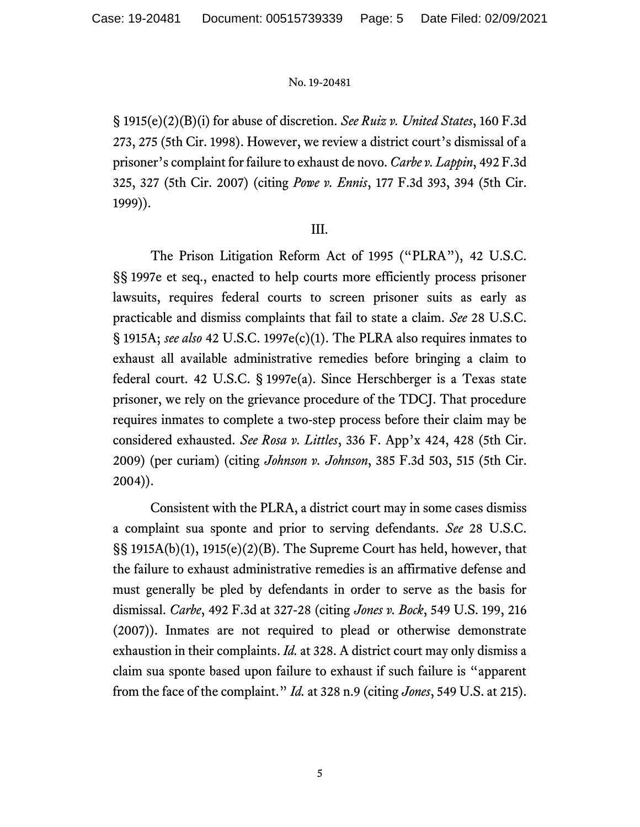§ 1915(e)(2)(B)(i) for abuse of discretion. *See Ruiz v. United States*, 160 F.3d 273, 275 (5th Cir. 1998). However, we review a district court's dismissal of a prisoner's complaint for failure to exhaust de novo. *Carbe v. Lappin*, 492 F.3d 325, 327 (5th Cir. 2007) (citing *Powe v. Ennis*, 177 F.3d 393, 394 (5th Cir. 1999)).

## III.

The Prison Litigation Reform Act of 1995 ("PLRA"), 42 U.S.C. §§ 1997e et seq., enacted to help courts more efficiently process prisoner lawsuits, requires federal courts to screen prisoner suits as early as practicable and dismiss complaints that fail to state a claim. *See* 28 U.S.C. § 1915A; *see also* 42 U.S.C. 1997e(c)(1). The PLRA also requires inmates to exhaust all available administrative remedies before bringing a claim to federal court. 42 U.S.C. § 1997e(a). Since Herschberger is a Texas state prisoner, we rely on the grievance procedure of the TDCJ. That procedure requires inmates to complete a two-step process before their claim may be considered exhausted. *See Rosa v. Littles*, 336 F. App'x 424, 428 (5th Cir. 2009) (per curiam) (citing *Johnson v. Johnson*, 385 F.3d 503, 515 (5th Cir. 2004)).

Consistent with the PLRA, a district court may in some cases dismiss a complaint sua sponte and prior to serving defendants. *See* 28 U.S.C. §§ 1915A(b)(1), 1915(e)(2)(B). The Supreme Court has held, however, that the failure to exhaust administrative remedies is an affirmative defense and must generally be pled by defendants in order to serve as the basis for dismissal. *Carbe*, 492 F.3d at 327-28 (citing *Jones v. Bock*, 549 U.S. 199, 216 (2007)). Inmates are not required to plead or otherwise demonstrate exhaustion in their complaints. *Id.* at 328. A district court may only dismiss a claim sua sponte based upon failure to exhaust if such failure is "apparent from the face of the complaint." *Id.* at 328 n.9 (citing *Jones*, 549 U.S. at 215).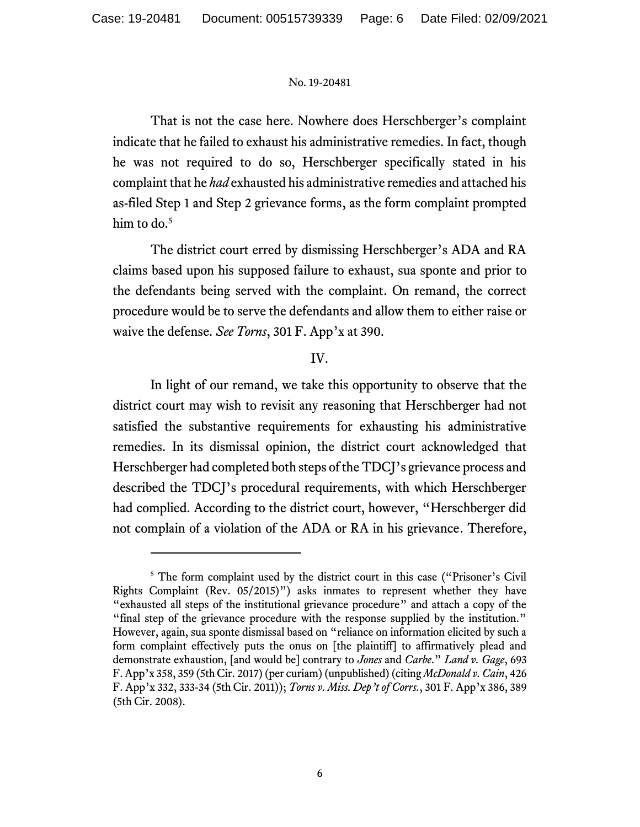That is not the case here. Nowhere does Herschberger's complaint indicate that he failed to exhaust his administrative remedies. In fact, though he was not required to do so, Herschberger specifically stated in his complaint that he *had* exhausted his administrative remedies and attached his as-filed Step 1 and Step 2 grievance forms, as the form complaint prompted him to do. 5

The district court erred by dismissing Herschberger's ADA and RA claims based upon his supposed failure to exhaust, sua sponte and prior to the defendants being served with the complaint. On remand, the correct procedure would be to serve the defendants and allow them to either raise or waive the defense. *See Torns*, 301 F. App'x at 390.

## IV.

In light of our remand, we take this opportunity to observe that the district court may wish to revisit any reasoning that Herschberger had not satisfied the substantive requirements for exhausting his administrative remedies. In its dismissal opinion, the district court acknowledged that Herschberger had completed both steps of the TDCJ's grievance process and described the TDCJ's procedural requirements, with which Herschberger had complied. According to the district court, however, "Herschberger did not complain of a violation of the ADA or RA in his grievance. Therefore,

<sup>&</sup>lt;sup>5</sup> The form complaint used by the district court in this case ("Prisoner's Civil" Rights Complaint (Rev. 05/2015)") asks inmates to represent whether they have "exhausted all steps of the institutional grievance procedure" and attach a copy of the "final step of the grievance procedure with the response supplied by the institution." However, again, sua sponte dismissal based on "reliance on information elicited by such a form complaint effectively puts the onus on [the plaintiff] to affirmatively plead and demonstrate exhaustion, [and would be] contrary to *Jones* and *Carbe*." *Land v. Gage*, 693 F. App'x 358, 359 (5th Cir. 2017) (per curiam) (unpublished) (citing *McDonald v. Cain*, 426 F. App'x 332, 333-34 (5th Cir. 2011)); *Torns v. Miss. Dep't of Corrs.*, 301 F. App'x 386, 389 (5th Cir. 2008).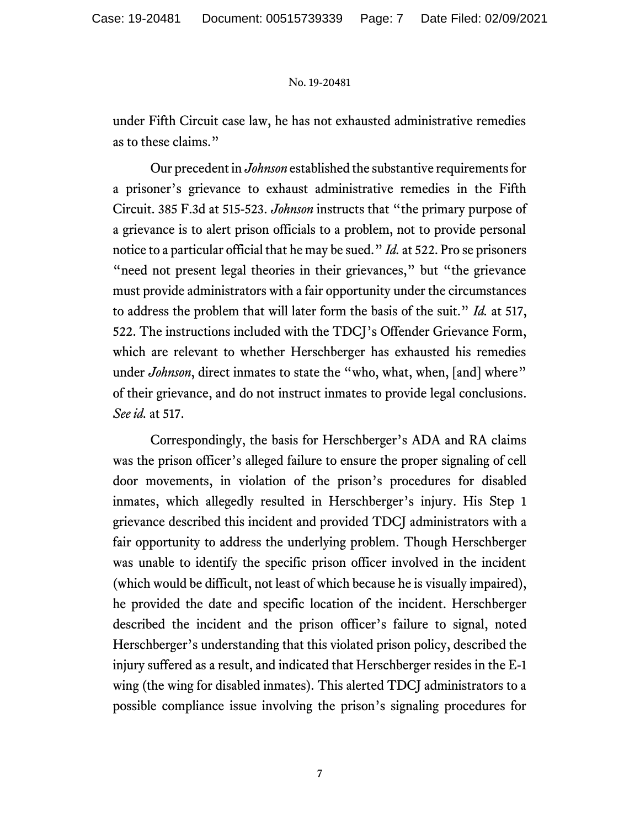under Fifth Circuit case law, he has not exhausted administrative remedies as to these claims."

Our precedent in *Johnson* established the substantive requirements for a prisoner's grievance to exhaust administrative remedies in the Fifth Circuit. 385 F.3d at 515-523. *Johnson* instructs that "the primary purpose of a grievance is to alert prison officials to a problem, not to provide personal notice to a particular official that he may be sued." *Id.* at 522. Pro se prisoners "need not present legal theories in their grievances," but "the grievance must provide administrators with a fair opportunity under the circumstances to address the problem that will later form the basis of the suit." *Id.* at 517, 522. The instructions included with the TDCJ's Offender Grievance Form, which are relevant to whether Herschberger has exhausted his remedies under *Johnson*, direct inmates to state the "who, what, when, [and] where" of their grievance, and do not instruct inmates to provide legal conclusions. *See id.* at 517.

Correspondingly, the basis for Herschberger's ADA and RA claims was the prison officer's alleged failure to ensure the proper signaling of cell door movements, in violation of the prison's procedures for disabled inmates, which allegedly resulted in Herschberger's injury. His Step 1 grievance described this incident and provided TDCJ administrators with a fair opportunity to address the underlying problem. Though Herschberger was unable to identify the specific prison officer involved in the incident (which would be difficult, not least of which because he is visually impaired), he provided the date and specific location of the incident. Herschberger described the incident and the prison officer's failure to signal, noted Herschberger's understanding that this violated prison policy, described the injury suffered as a result, and indicated that Herschberger resides in the E-1 wing (the wing for disabled inmates). This alerted TDCJ administrators to a possible compliance issue involving the prison's signaling procedures for